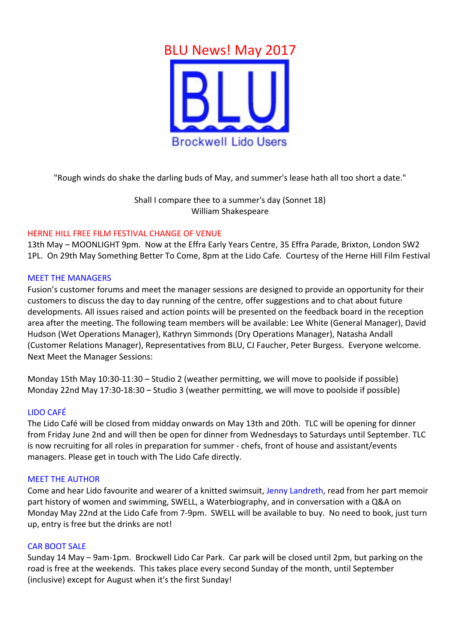

"Rough winds do shake the darling buds of May, and summer's lease hath all too short a date."

Shall I compare thee to a summer's day (Sonnet 18) William Shakespeare

# HERNE HILL FREE FILM FESTIVAL CHANGE OF VENUE

13th May – MOONLIGHT 9pm. Now at the Effra Early Years Centre, 35 Effra Parade, Brixton, London SW2 1PL. On 29th May Something Better To Come, 8pm at the Lido Cafe. Courtesy of the Herne Hill Film Festival

### **MEET THE MANAGERS**

Fusion's customer forums and meet the manager sessions are designed to provide an opportunity for their customers to discuss the day to day running of the centre, offer suggestions and to chat about future developments. All issues raised and action points will be presented on the feedback board in the reception area after the meeting. The following team members will be available: Lee White (General Manager), David Hudson (Wet Operations Manager), Kathryn Simmonds (Dry Operations Manager), Natasha Andall (Customer Relations Manager), Representatives from BLU, CJ Faucher, Peter Burgess. Everyone welcome. Next Meet the Manager Sessions:

Monday 15th May 10:30-11:30 - Studio 2 (weather permitting, we will move to poolside if possible) Monday 22nd May 17:30-18:30 – Studio 3 (weather permitting, we will move to poolside if possible)

#### LIDO CAFÉ

The Lido Café will be closed from midday onwards on May 13th and 20th. TLC will be opening for dinner from Friday June 2nd and will then be open for dinner from Wednesdays to Saturdays until September. TLC is now recruiting for all roles in preparation for summer - chefs, front of house and assistant/events managers. Please get in touch with The Lido Cafe directly.

#### **MEET THE AUTHOR**

Come and hear Lido favourite and wearer of a knitted swimsuit, Jenny Landreth, read from her part memoir part history of women and swimming, SWELL, a Waterbiography, and in conversation with a Q&A on Monday May 22nd at the Lido Cafe from 7-9pm. SWELL will be available to buy. No need to book, iust turn up, entry is free but the drinks are not!

# **CAR BOOT SALE**

Sunday 14 May – 9am-1pm. Brockwell Lido Car Park. Car park will be closed until 2pm, but parking on the road is free at the weekends. This takes place every second Sunday of the month, until September (inclusive) except for August when it's the first Sunday!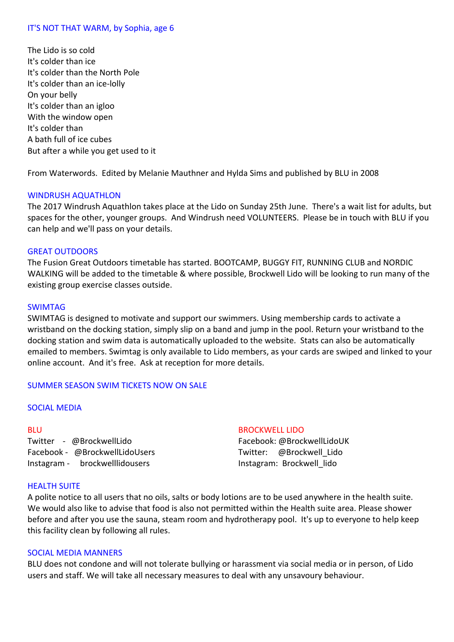# IT'S NOT THAT WARM, by Sophia, age 6

The Lido is so cold It's colder than ice It's colder than the North Pole It's colder than an ice-lolly On your belly It's colder than an igloo With the window open It's colder than A bath full of ice cubes But after a while you get used to it

From Waterwords. Edited by Melanie Mauthner and Hylda Sims and published by BLU in 2008

### WINDRUSH AQUATHLON

The 2017 Windrush Aquathlon takes place at the Lido on Sunday 25th June. There's a wait list for adults, but spaces for the other, younger groups. And Windrush need VOLUNTEERS. Please be in touch with BLU if you can help and we'll pass on your details.

### **GREAT OUTDOORS**

The Fusion Great Outdoors timetable has started. BOOTCAMP, BUGGY FIT, RUNNING CLUB and NORDIC WALKING will be added to the timetable & where possible, Brockwell Lido will be looking to run many of the existing group exercise classes outside.

#### SWIMTAG

SWIMTAG is designed to motivate and support our swimmers. Using membership cards to activate a wristband on the docking station, simply slip on a band and jump in the pool. Return your wristband to the docking station and swim data is automatically uploaded to the website. Stats can also be automatically emailed to members. Swimtag is only available to Lido members, as your cards are swiped and linked to your online account. And it's free. Ask at reception for more details.

# SUMMER SEASON SWIM TICKETS NOW ON SALE

# **SOCIAL MEDIA**

### BLU

Twitter - @BrockwellLido Facebook - @BrockwellLidoUsers Instagram - brockwelllidousers

#### **BROCKWELL LIDO**

Facebook: @BrockwellLidoUK Twitter: @Brockwell Lido Instagram: Brockwell lido

#### **HEALTH SUITE**

A polite notice to all users that no oils, salts or body lotions are to be used anywhere in the health suite. We would also like to advise that food is also not permitted within the Health suite area. Please shower before and after you use the sauna, steam room and hydrotherapy pool. It's up to everyone to help keep this facility clean by following all rules.

#### SOCIAL MEDIA MANNERS

BLU does not condone and will not tolerate bullying or harassment via social media or in person, of Lido users and staff. We will take all necessary measures to deal with any unsavoury behaviour.